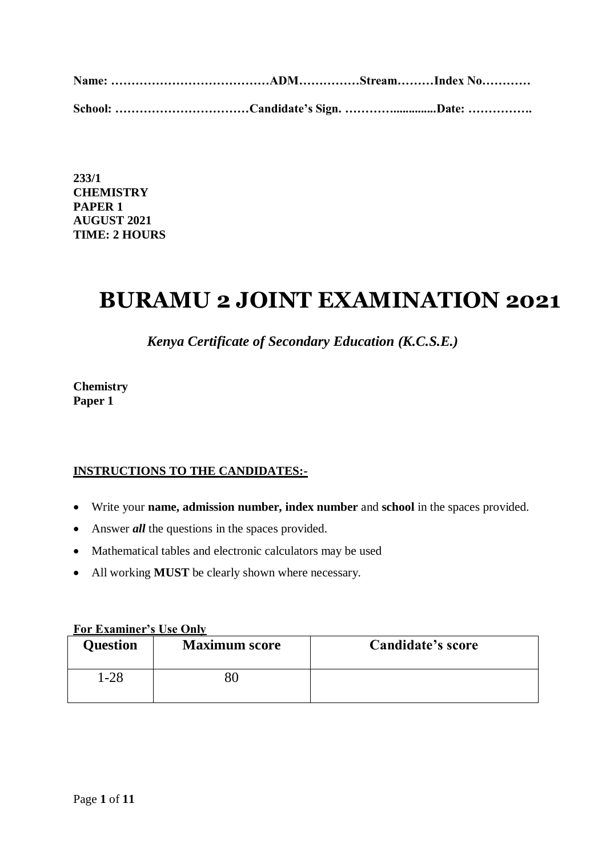| School: Candidate's Sign. Date: |  |  |
|---------------------------------|--|--|

**233/1 CHEMISTRY PAPER 1 AUGUST 2021 TIME: 2 HOURS**

## **BURAMU 2 JOINT EXAMINATION 2021**

*Kenya Certificate of Secondary Education (K.C.S.E.)*

**Chemistry Paper 1**

## **INSTRUCTIONS TO THE CANDIDATES:-**

- Write your **name, admission number, index number** and **school** in the spaces provided.
- Answer *all* the questions in the spaces provided.
- Mathematical tables and electronic calculators may be used
- All working **MUST** be clearly shown where necessary.

## **For Examiner's Use Only**

| <b>Question</b> | <b>Maximum score</b> | <b>Candidate's score</b> |
|-----------------|----------------------|--------------------------|
| l-28            | 51.                  |                          |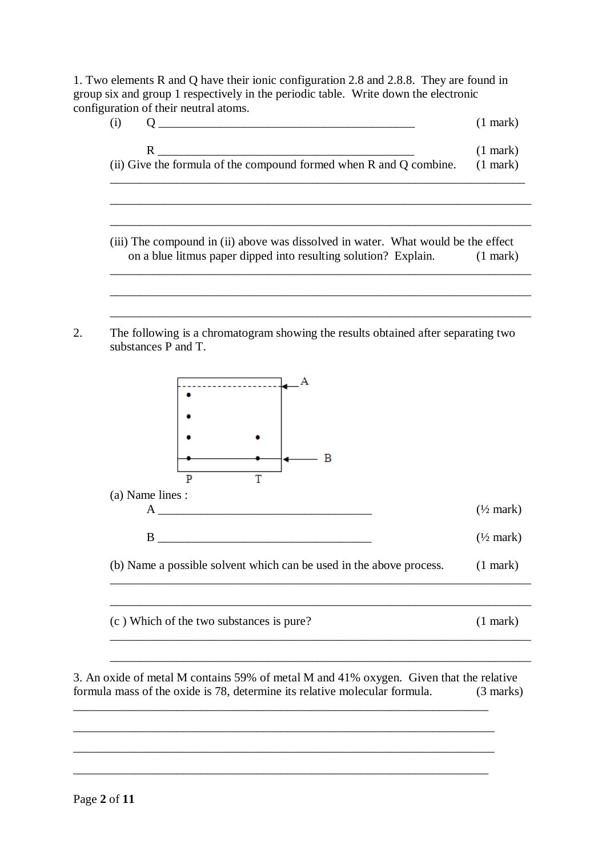1. Two elements R and Q have their ionic configuration 2.8 and 2.8.8. They are found in group six and group 1 respectively in the periodic table. Write down the electronic configuration of their neutral atoms.

|                                                                    | $(1$ mark) |
|--------------------------------------------------------------------|------------|
| (ii) Give the formula of the compound formed when R and Q combine. | $(1$ mark) |

(iii) The compound in (ii) above was dissolved in water. What would be the effect on a blue litmus paper dipped into resulting solution? Explain. (1 mark) \_\_\_\_\_\_\_\_\_\_\_\_\_\_\_\_\_\_\_\_\_\_\_\_\_\_\_\_\_\_\_\_\_\_\_\_\_\_\_\_\_\_\_\_\_\_\_\_\_\_\_\_\_\_\_\_\_\_\_\_\_\_\_\_\_\_\_\_\_

\_\_\_\_\_\_\_\_\_\_\_\_\_\_\_\_\_\_\_\_\_\_\_\_\_\_\_\_\_\_\_\_\_\_\_\_\_\_\_\_\_\_\_\_\_\_\_\_\_\_\_\_\_\_\_\_\_\_\_\_\_\_\_\_\_\_\_\_\_

\_\_\_\_\_\_\_\_\_\_\_\_\_\_\_\_\_\_\_\_\_\_\_\_\_\_\_\_\_\_\_\_\_\_\_\_\_\_\_\_\_\_\_\_\_\_\_\_\_\_\_\_\_\_\_\_\_\_\_\_\_\_\_\_\_\_\_\_\_

\_\_\_\_\_\_\_\_\_\_\_\_\_\_\_\_\_\_\_\_\_\_\_\_\_\_\_\_\_\_\_\_\_\_\_\_\_\_\_\_\_\_\_\_\_\_\_\_\_\_\_\_\_\_\_\_\_\_\_\_\_\_\_\_\_\_\_\_\_

2. The following is a chromatogram showing the results obtained after separating two substances P and T.



3. An oxide of metal M contains 59% of metal M and 41% oxygen. Given that the relative formula mass of the oxide is 78, determine its relative molecular formula. (3 marks)

\_\_\_\_\_\_\_\_\_\_\_\_\_\_\_\_\_\_\_\_\_\_\_\_\_\_\_\_\_\_\_\_\_\_\_\_\_\_\_\_\_\_\_\_\_\_\_\_\_\_\_\_\_\_\_\_\_\_\_\_\_\_\_\_\_\_\_\_

\_\_\_\_\_\_\_\_\_\_\_\_\_\_\_\_\_\_\_\_\_\_\_\_\_\_\_\_\_\_\_\_\_\_\_\_\_\_\_\_\_\_\_\_\_\_\_\_\_\_\_\_\_\_\_\_\_\_\_\_\_\_\_\_\_\_\_\_\_

\_\_\_\_\_\_\_\_\_\_\_\_\_\_\_\_\_\_\_\_\_\_\_\_\_\_\_\_\_\_\_\_\_\_\_\_\_\_\_\_\_\_\_\_\_\_\_\_\_\_\_\_\_\_\_\_\_\_\_\_\_\_\_\_\_\_\_\_\_

\_\_\_\_\_\_\_\_\_\_\_\_\_\_\_\_\_\_\_\_\_\_\_\_\_\_\_\_\_\_\_\_\_\_\_\_\_\_\_\_\_\_\_\_\_\_\_\_\_\_\_\_\_\_\_\_\_\_\_\_\_\_\_\_\_\_\_\_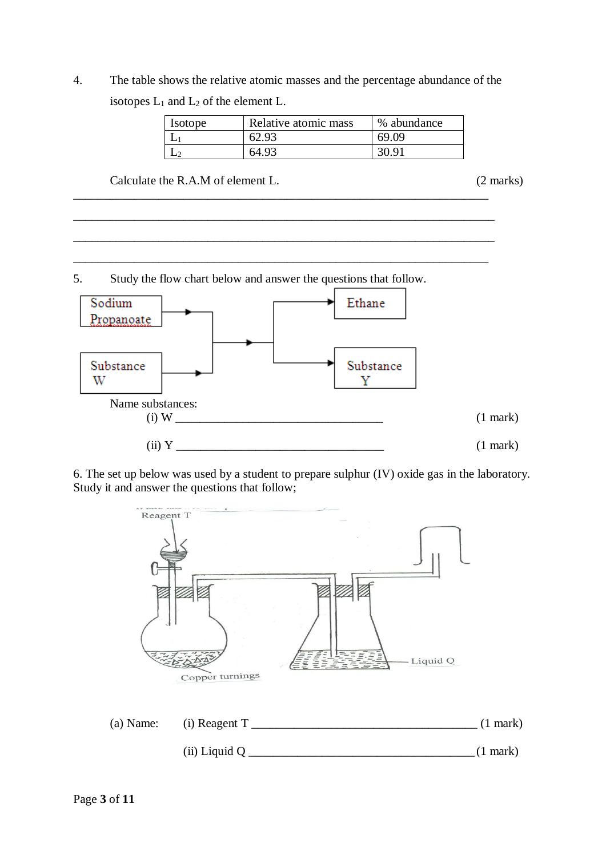4. The table shows the relative atomic masses and the percentage abundance of the isotopes  $L_1$  and  $L_2$  of the element L.

\_\_\_\_\_\_\_\_\_\_\_\_\_\_\_\_\_\_\_\_\_\_\_\_\_\_\_\_\_\_\_\_\_\_\_\_\_\_\_\_\_\_\_\_\_\_\_\_\_\_\_\_\_\_\_\_\_\_\_\_\_\_\_\_\_\_\_\_

\_\_\_\_\_\_\_\_\_\_\_\_\_\_\_\_\_\_\_\_\_\_\_\_\_\_\_\_\_\_\_\_\_\_\_\_\_\_\_\_\_\_\_\_\_\_\_\_\_\_\_\_\_\_\_\_\_\_\_\_\_\_\_\_\_\_\_\_\_

\_\_\_\_\_\_\_\_\_\_\_\_\_\_\_\_\_\_\_\_\_\_\_\_\_\_\_\_\_\_\_\_\_\_\_\_\_\_\_\_\_\_\_\_\_\_\_\_\_\_\_\_\_\_\_\_\_\_\_\_\_\_\_\_\_\_\_\_\_

\_\_\_\_\_\_\_\_\_\_\_\_\_\_\_\_\_\_\_\_\_\_\_\_\_\_\_\_\_\_\_\_\_\_\_\_\_\_\_\_\_\_\_\_\_\_\_\_\_\_\_\_\_\_\_\_\_\_\_\_\_\_\_\_\_\_\_\_

| Isotope | Relative atomic mass | % abundance |
|---------|----------------------|-------------|
|         | 62.93                | 69.09       |
|         | 64.93                | 30.91       |

Calculate the R.A.M of element L. (2 marks)

5. Study the flow chart below and answer the questions that follow.



6. The set up below was used by a student to prepare sulphur (IV) oxide gas in the laboratory. Study it and answer the questions that follow;

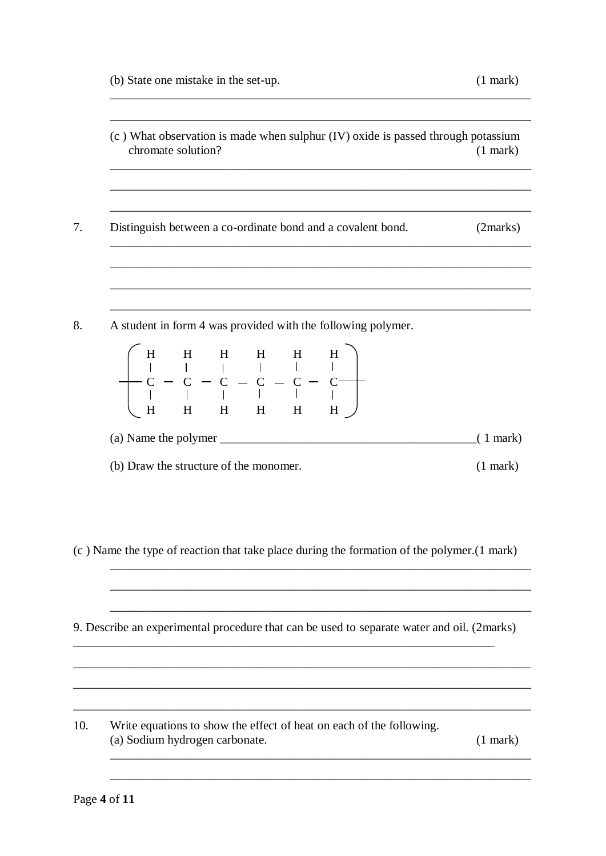- (c) What observation is made when sulphur (IV) oxide is passed through potassium chromate solution?  $(1$  mark)
- 7. Distinguish between a co-ordinate bond and a covalent bond.  $(2 marks)$
- 8. A student in form 4 was provided with the following polymer.

|                                        |  |  | $\left(\begin{array}{cccccccc} H & H & H & H & H & H \\   &   &   &   &   &   &   \\ C & - & C & - & C & - & C & - & C \\   &   &   &   &   &   &   &   \\ H & H & H & H & H & H & H & H \end{array}\right)$ |            |
|----------------------------------------|--|--|--------------------------------------------------------------------------------------------------------------------------------------------------------------------------------------------------------------|------------|
| (a) Name the polymer                   |  |  |                                                                                                                                                                                                              | $(1$ mark) |
| (b) Draw the structure of the monomer. |  |  |                                                                                                                                                                                                              |            |

(c) Name the type of reaction that take place during the formation of the polymer. (1 mark)

9. Describe an experimental procedure that can be used to separate water and oil. (2marks)

 $10<sub>l</sub>$ Write equations to show the effect of heat on each of the following. (a) Sodium hydrogen carbonate.  $(1$  mark $)$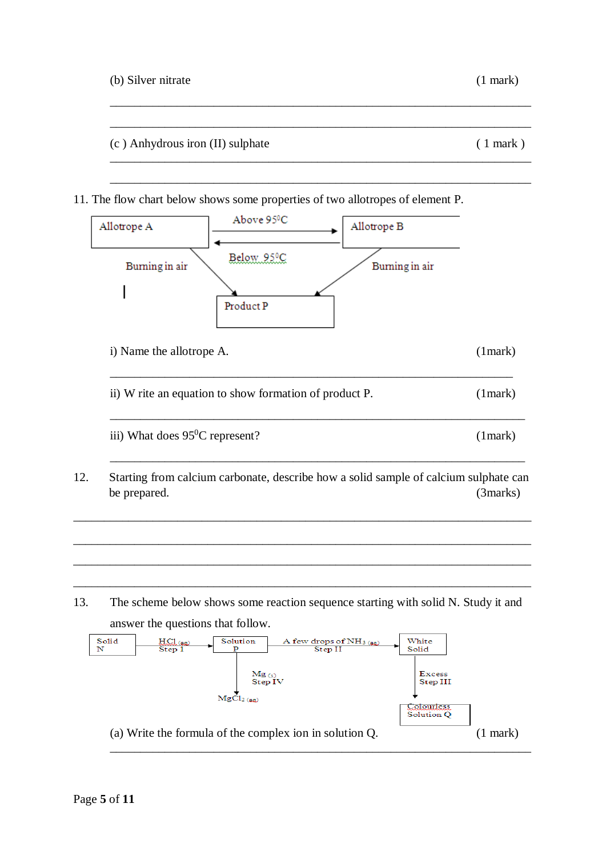|  | (b) Silver nitrate | $(1$ mark) |
|--|--------------------|------------|
|--|--------------------|------------|

(c ) Anhydrous iron (II) sulphate ( 1 mark )

- 
- 11. The flow chart below shows some properties of two allotropes of element P.



\_\_\_\_\_\_\_\_\_\_\_\_\_\_\_\_\_\_\_\_\_\_\_\_\_\_\_\_\_\_\_\_\_\_\_\_\_\_\_\_\_\_\_\_\_\_\_\_\_\_\_\_\_\_\_\_\_\_\_\_\_\_\_\_\_\_\_\_\_

\_\_\_\_\_\_\_\_\_\_\_\_\_\_\_\_\_\_\_\_\_\_\_\_\_\_\_\_\_\_\_\_\_\_\_\_\_\_\_\_\_\_\_\_\_\_\_\_\_\_\_\_\_\_\_\_\_\_\_\_\_\_\_\_\_\_\_\_\_

\_\_\_\_\_\_\_\_\_\_\_\_\_\_\_\_\_\_\_\_\_\_\_\_\_\_\_\_\_\_\_\_\_\_\_\_\_\_\_\_\_\_\_\_\_\_\_\_\_\_\_\_\_\_\_\_\_\_\_\_\_\_\_\_\_\_\_\_\_

\_\_\_\_\_\_\_\_\_\_\_\_\_\_\_\_\_\_\_\_\_\_\_\_\_\_\_\_\_\_\_\_\_\_\_\_\_\_\_\_\_\_\_\_\_\_\_\_\_\_\_\_\_\_\_\_\_\_\_\_\_\_\_\_\_\_\_\_\_

13. The scheme below shows some reaction sequence starting with solid N. Study it and answer the questions that follow.

\_\_\_\_\_\_\_\_\_\_\_\_\_\_\_\_\_\_\_\_\_\_\_\_\_\_\_\_\_\_\_\_\_\_\_\_\_\_\_\_\_\_\_\_\_\_\_\_\_\_\_\_\_\_\_\_\_\_\_\_\_\_\_\_\_\_\_\_\_\_\_\_\_\_\_

\_\_\_\_\_\_\_\_\_\_\_\_\_\_\_\_\_\_\_\_\_\_\_\_\_\_\_\_\_\_\_\_\_\_\_\_\_\_\_\_\_\_\_\_\_\_\_\_\_\_\_\_\_\_\_\_\_\_\_\_\_\_\_\_\_\_\_\_\_\_\_\_\_\_\_

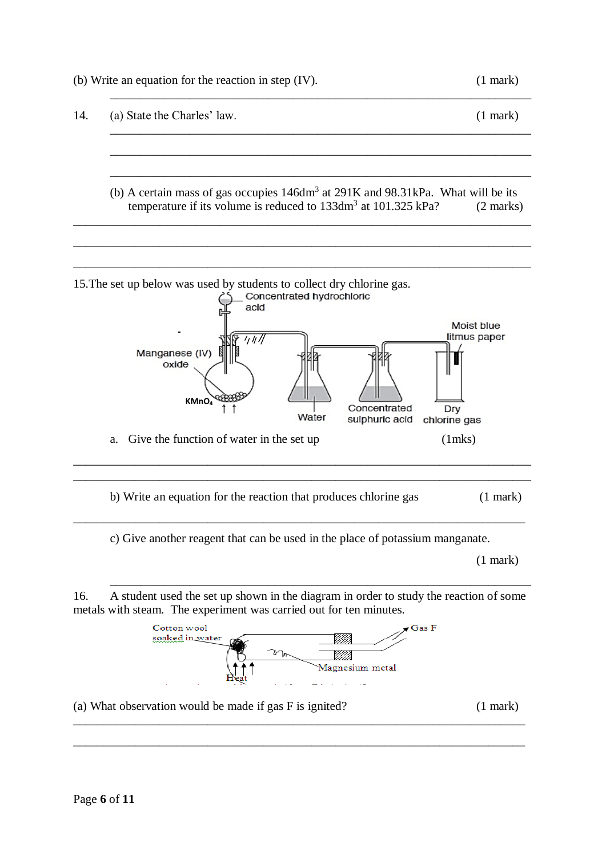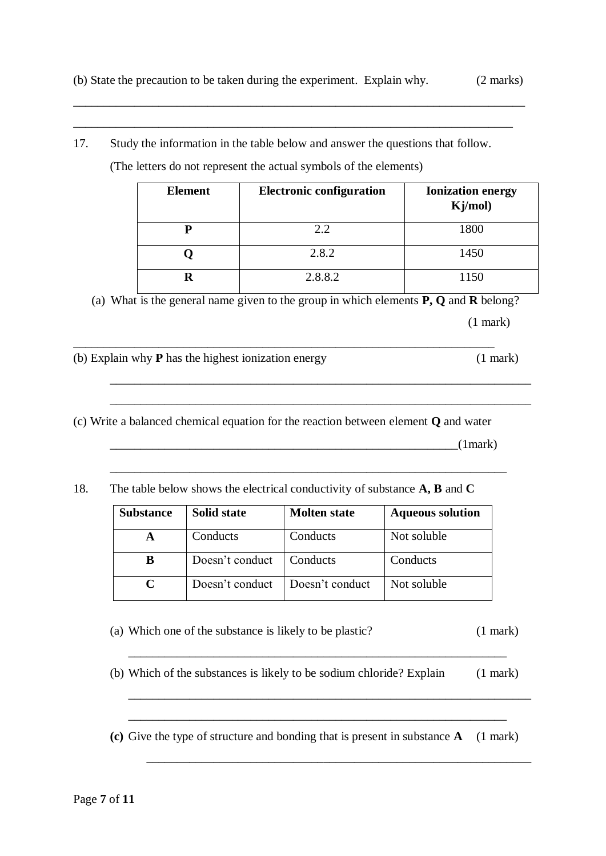\_\_\_\_\_\_\_\_\_\_\_\_\_\_\_\_\_\_\_\_\_\_\_\_\_\_\_\_\_\_\_\_\_\_\_\_\_\_\_\_\_\_\_\_\_\_\_\_\_\_\_\_\_\_\_\_\_\_\_\_\_\_\_\_\_\_\_\_\_\_\_\_\_\_

\_\_\_\_\_\_\_\_\_\_\_\_\_\_\_\_\_\_\_\_\_\_\_\_\_\_\_\_\_\_\_\_\_\_\_\_\_\_\_\_\_\_\_\_\_\_\_\_\_\_\_\_\_\_\_\_\_\_\_\_\_\_\_\_\_\_\_\_\_\_\_\_

17. Study the information in the table below and answer the questions that follow.

(The letters do not represent the actual symbols of the elements)

| <b>Element</b> | <b>Electronic configuration</b> | <b>Ionization energy</b><br>Kj/mol) |
|----------------|---------------------------------|-------------------------------------|
|                | 2.2                             | 1800                                |
|                | 2.8.2                           | 1450                                |
|                | 2.8.8.2                         | $1150 -$                            |

(a) What is the general name given to the group in which elements **P, Q** and **R** belong? (1 mark)

\_\_\_\_\_\_\_\_\_\_\_\_\_\_\_\_\_\_\_\_\_\_\_\_\_\_\_\_\_\_\_\_\_\_\_\_\_\_\_\_\_\_\_\_\_\_\_\_\_\_\_\_\_\_\_\_\_\_\_\_\_\_\_\_\_\_\_\_\_

\_\_\_\_\_\_\_\_\_\_\_\_\_\_\_\_\_\_\_\_\_\_\_\_\_\_\_\_\_\_\_\_\_\_\_\_\_\_\_\_\_\_\_\_\_\_\_\_\_\_\_\_\_\_\_\_\_\_\_\_\_\_\_\_\_\_\_\_\_

(b) Explain why **P** has the highest ionization energy (1 mark)

(c) Write a balanced chemical equation for the reaction between element **Q** and water

\_\_\_\_\_\_\_\_\_\_\_\_\_\_\_\_\_\_\_\_\_\_\_\_\_\_\_\_\_\_\_\_\_\_\_\_\_\_\_\_\_\_\_\_\_\_\_\_\_\_\_\_\_\_\_\_\_\_\_\_\_\_\_\_\_\_\_\_\_

 $(1$ mark)

18. The table below shows the electrical conductivity of substance **A, B** and **C**

| <b>Substance</b> | <b>Solid state</b> | <b>Molten state</b> | <b>Aqueous solution</b> |
|------------------|--------------------|---------------------|-------------------------|
|                  | Conducts           | Conducts            | Not soluble             |
| B                | Doesn't conduct    | Conducts            | Conducts                |
|                  | Doesn't conduct    | Doesn't conduct     | Not soluble             |

\_\_\_\_\_\_\_\_\_\_\_\_\_\_\_\_\_\_\_\_\_\_\_\_\_\_\_\_\_\_\_\_\_\_\_\_\_\_\_\_\_\_\_\_\_\_\_\_\_\_\_\_\_\_\_\_\_\_\_\_\_\_\_\_\_

- (a) Which one of the substance is likely to be plastic? (1 mark)
- (b) Which of the substances is likely to be sodium chloride? Explain (1 mark)

\_\_\_\_\_\_\_\_\_\_\_\_\_\_\_\_\_\_\_\_\_\_\_\_\_\_\_\_\_\_\_\_\_\_\_\_\_\_\_\_\_\_\_\_\_\_\_\_\_\_\_\_\_\_\_\_\_\_\_\_\_\_\_\_\_\_

\_\_\_\_\_\_\_\_\_\_\_\_\_\_\_\_\_\_\_\_\_\_\_\_\_\_\_\_\_\_\_\_\_\_\_\_\_\_\_\_\_\_\_\_\_\_\_\_\_\_\_\_\_\_\_\_\_\_\_\_\_\_\_

\_\_\_\_\_\_\_\_\_\_\_\_\_\_\_\_\_\_\_\_\_\_\_\_\_\_\_\_\_\_\_\_\_\_\_\_\_\_\_\_\_\_\_\_\_\_\_\_\_\_\_\_\_\_\_\_\_\_\_\_\_\_

**(c)** Give the type of structure and bonding that is present in substance **A** (1 mark)

\_\_\_\_\_\_\_\_\_\_\_\_\_\_\_\_\_\_\_\_\_\_\_\_\_\_\_\_\_\_\_\_\_\_\_\_\_\_\_\_\_\_\_\_\_\_\_\_\_\_\_\_\_\_\_\_\_\_\_\_\_\_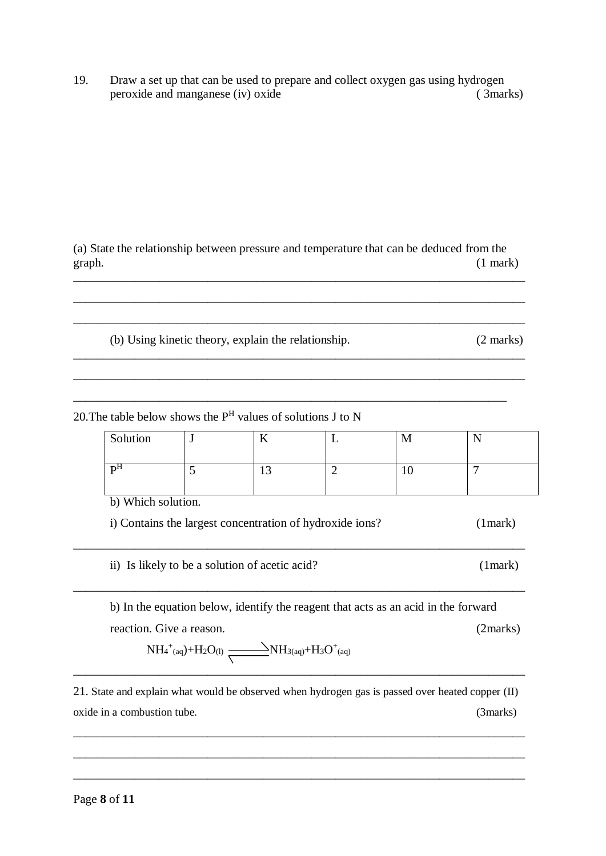19. Draw a set up that can be used to prepare and collect oxygen gas using hydrogen peroxide and manganese (iv) oxide (3marks)

(a) State the relationship between pressure and temperature that can be deduced from the graph. (1 mark)

\_\_\_\_\_\_\_\_\_\_\_\_\_\_\_\_\_\_\_\_\_\_\_\_\_\_\_\_\_\_\_\_\_\_\_\_\_\_\_\_\_\_\_\_\_\_\_\_\_\_\_\_\_\_\_\_\_\_\_\_\_\_\_\_\_\_\_\_\_\_\_\_\_\_

\_\_\_\_\_\_\_\_\_\_\_\_\_\_\_\_\_\_\_\_\_\_\_\_\_\_\_\_\_\_\_\_\_\_\_\_\_\_\_\_\_\_\_\_\_\_\_\_\_\_\_\_\_\_\_\_\_\_\_\_\_\_\_\_\_\_\_\_\_\_\_\_\_\_

\_\_\_\_\_\_\_\_\_\_\_\_\_\_\_\_\_\_\_\_\_\_\_\_\_\_\_\_\_\_\_\_\_\_\_\_\_\_\_\_\_\_\_\_\_\_\_\_\_\_\_\_\_\_\_\_\_\_\_\_\_\_\_\_\_\_\_\_\_\_\_\_\_\_

\_\_\_\_\_\_\_\_\_\_\_\_\_\_\_\_\_\_\_\_\_\_\_\_\_\_\_\_\_\_\_\_\_\_\_\_\_\_\_\_\_\_\_\_\_\_\_\_\_\_\_\_\_\_\_\_\_\_\_\_\_\_\_\_\_\_\_\_\_\_\_\_\_\_

\_\_\_\_\_\_\_\_\_\_\_\_\_\_\_\_\_\_\_\_\_\_\_\_\_\_\_\_\_\_\_\_\_\_\_\_\_\_\_\_\_\_\_\_\_\_\_\_\_\_\_\_\_\_\_\_\_\_\_\_\_\_\_\_\_\_\_\_\_\_\_

 $\_$  , and the set of the set of the set of the set of the set of the set of the set of the set of the set of the set of the set of the set of the set of the set of the set of the set of the set of the set of the set of th

(b) Using kinetic theory, explain the relationship. (2 marks)

20. The table below shows the  $P<sup>H</sup>$  values of solutions J to N

| Solution           | J                                              | K  |                                                          | M  | N       |
|--------------------|------------------------------------------------|----|----------------------------------------------------------|----|---------|
| P <sup>H</sup>     | 5                                              | 13 | ာ                                                        | 10 | ┑       |
| b) Which solution. |                                                |    | i) Contains the largest concentration of hydroxide ions? |    | (1mark) |
|                    | ii) Is likely to be a solution of acetic acid? |    |                                                          |    | (1mark) |

b) In the equation below, identify the reagent that acts as an acid in the forward reaction. Give a reason. (2marks)

$$
NH_4{}^+{}_{(aq)} + H_2O_{(l)} \xrightarrow{\hspace*{1.5cm}} NH_{3(aq)} + H_3O^+{}_{(aq)}
$$

21. State and explain what would be observed when hydrogen gas is passed over heated copper (II) oxide in a combustion tube. (3marks)

\_\_\_\_\_\_\_\_\_\_\_\_\_\_\_\_\_\_\_\_\_\_\_\_\_\_\_\_\_\_\_\_\_\_\_\_\_\_\_\_\_\_\_\_\_\_\_\_\_\_\_\_\_\_\_\_\_\_\_\_\_\_\_\_\_\_\_\_\_\_\_\_\_\_

\_\_\_\_\_\_\_\_\_\_\_\_\_\_\_\_\_\_\_\_\_\_\_\_\_\_\_\_\_\_\_\_\_\_\_\_\_\_\_\_\_\_\_\_\_\_\_\_\_\_\_\_\_\_\_\_\_\_\_\_\_\_\_\_\_\_\_\_\_\_\_\_\_\_

\_\_\_\_\_\_\_\_\_\_\_\_\_\_\_\_\_\_\_\_\_\_\_\_\_\_\_\_\_\_\_\_\_\_\_\_\_\_\_\_\_\_\_\_\_\_\_\_\_\_\_\_\_\_\_\_\_\_\_\_\_\_\_\_\_\_\_\_\_\_\_\_\_\_

\_\_\_\_\_\_\_\_\_\_\_\_\_\_\_\_\_\_\_\_\_\_\_\_\_\_\_\_\_\_\_\_\_\_\_\_\_\_\_\_\_\_\_\_\_\_\_\_\_\_\_\_\_\_\_\_\_\_\_\_\_\_\_\_\_\_\_\_\_\_\_\_\_\_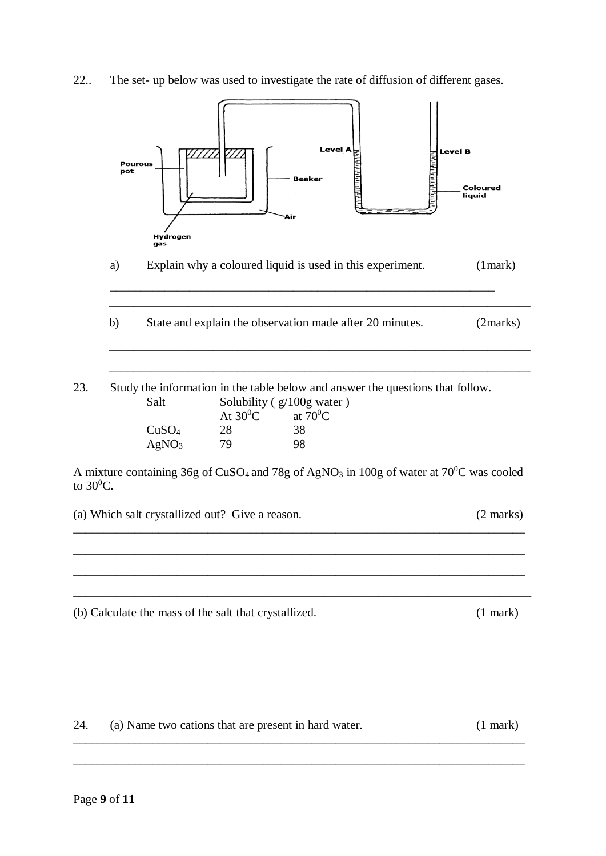22.. The set- up below was used to investigate the rate of diffusion of different gases.



24. (a) Name two cations that are present in hard water. (1 mark) \_\_\_\_\_\_\_\_\_\_\_\_\_\_\_\_\_\_\_\_\_\_\_\_\_\_\_\_\_\_\_\_\_\_\_\_\_\_\_\_\_\_\_\_\_\_\_\_\_\_\_\_\_\_\_\_\_\_\_\_\_\_\_\_\_\_\_\_\_\_\_\_\_\_

\_\_\_\_\_\_\_\_\_\_\_\_\_\_\_\_\_\_\_\_\_\_\_\_\_\_\_\_\_\_\_\_\_\_\_\_\_\_\_\_\_\_\_\_\_\_\_\_\_\_\_\_\_\_\_\_\_\_\_\_\_\_\_\_\_\_\_\_\_\_\_\_\_\_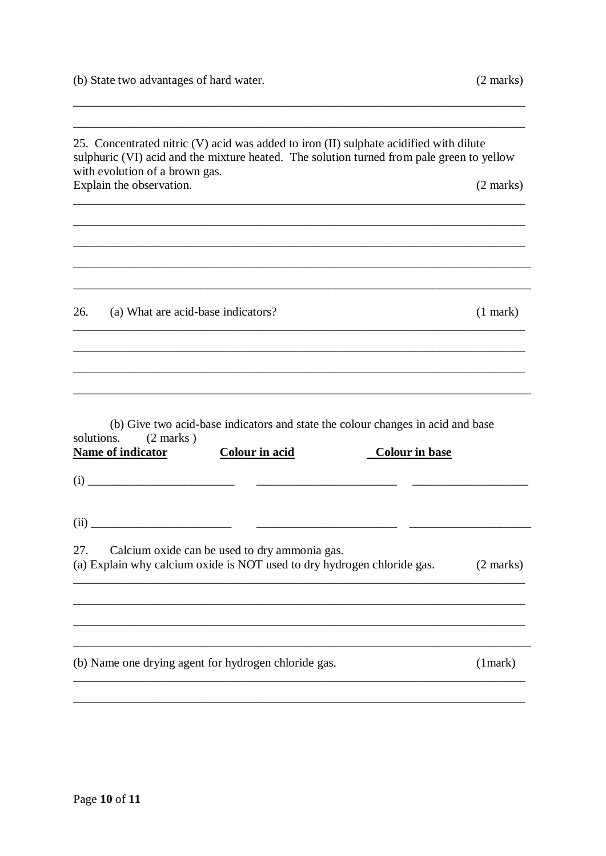$\overline{\phantom{a}}$ 

 $\overline{\phantom{a}}$ 

|            | with evolution of a brown gas.<br>Explain the observation.                                                                                                                    | $(2 \text{ marks})$ |
|------------|-------------------------------------------------------------------------------------------------------------------------------------------------------------------------------|---------------------|
|            |                                                                                                                                                                               |                     |
| 26.        | (a) What are acid-base indicators?                                                                                                                                            | $(1$ mark $)$       |
|            |                                                                                                                                                                               |                     |
|            |                                                                                                                                                                               |                     |
|            | (b) Give two acid-base indicators and state the colour changes in acid and base<br>$(2 \text{ marks})$<br>Name of indicator<br><b>Colour in acid</b><br><b>Colour in base</b> |                     |
| solutions. |                                                                                                                                                                               |                     |
| 27.        | Calcium oxide can be used to dry ammonia gas.<br>(a) Explain why calcium oxide is NOT used to dry hydrogen chloride gas.                                                      | (2 marks)           |